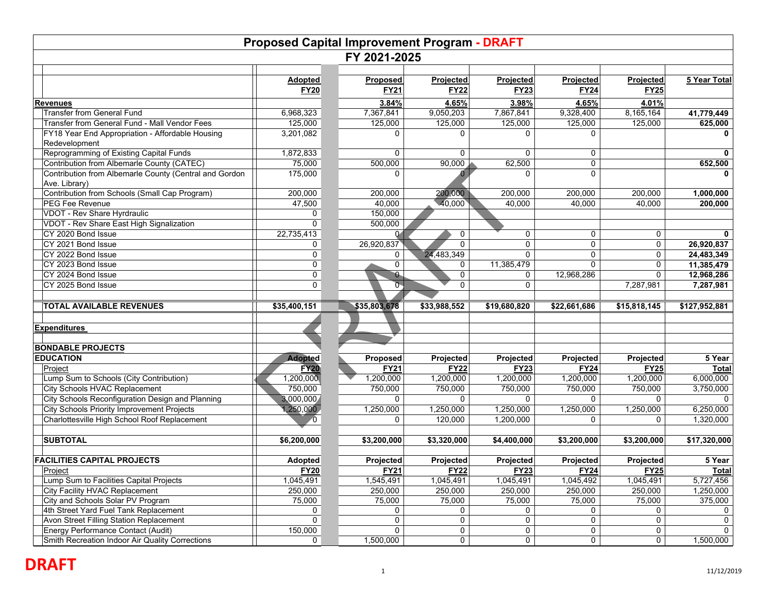| FY 2021-2025<br>Projected<br>Projected<br>Projected<br>5 Year Total<br>Adopted<br>Projected<br><b>Proposed</b><br><b>FY21</b><br><b>FY22</b><br><b>FY23</b><br><b>FY25</b><br><b>FY20</b><br><b>FY24</b><br>3.84%<br>4.65%<br>3.98%<br>4.65%<br>4.01%<br><b>Transfer from General Fund</b><br>9,050,203<br>6,968,323<br>7,367,841<br>7,867,841<br>9,328,400<br>8,165,164<br>41,779,449<br>Transfer from General Fund - Mall Vendor Fees<br>125,000<br>125,000<br>125,000<br>125,000<br>125,000<br>125,000<br>625,000<br>FY18 Year End Appropriation - Affordable Housing<br>3,201,082<br>0<br>0<br>0<br>Redevelopment<br>Reprogramming of Existing Capital Funds<br>1,872,833<br>$\mathbf{0}$<br>$\Omega$<br>0<br>0<br>Contribution from Albemarle County (CATEC)<br>75,000<br>90,000<br>62,500<br>500,000<br>$\mathbf 0$<br>652,500<br>Contribution from Albemarle County (Central and Gordon<br>175,000<br>$\Omega$<br>$\Omega$<br>0<br>Ave. Library)<br>Contribution from Schools (Small Cap Program)<br>200,000<br>200,000<br>200,000<br>200,000<br>200,000<br>200,000<br>1,000,000<br>40,000<br>PEG Fee Revenue<br>47,500<br>40,000<br>40,000<br>40,000<br>40,000<br>200,000<br><b>VDOT - Rev Share Hyrdraulic</b><br>150,000<br>0<br>VDOT - Rev Share East High Signalization<br>0<br>500,000<br>CY 2020 Bond Issue<br>22,735,413<br>0<br>0<br>$\mathbf 0$<br>$\mathbf 0$<br>$\Omega$<br>CY 2021 Bond Issue<br>26,920,837<br>0<br>$\mathbf 0$<br>26,920,837<br>0<br>$\Omega$<br>$\mathbf 0$<br>24,483,349<br>CY 2022 Bond Issue<br>0<br>$\Omega$<br>$\Omega$<br>$\mathbf 0$<br>24,483,349<br>0<br>CY 2023 Bond Issue<br>0<br>11,385,479<br>11,385,479<br>0<br>$\mathbf{0}$<br>0<br>0<br>0<br>CY 2024 Bond Issue<br>$\mathbf 0$<br>$\bullet$<br>0<br>0<br>12,968,286<br>12,968,286<br>0<br>$\overline{0}$<br>CY 2025 Bond Issue<br>$\mathbf{0}$<br>7,287,981<br>0<br>7,287,981<br><b>TOTAL AVAILABLE REVENUES</b><br>\$35,400,151<br>\$35,803,678<br>\$33,988,552<br>\$19,680,820<br>\$22,661,686<br>\$15,818,145<br>\$127,952,881<br>5 Year<br><b>Adopted</b><br>Projected<br>Projected<br>Projected<br>Projected<br><b>Proposed</b><br><b>FY20</b><br><b>FY21</b><br>Project<br><b>FY22</b><br><b>FY23</b><br><b>FY24</b><br><b>FY25</b><br>Total<br>Lump Sum to Schools (City Contribution)<br>1,200,000<br>1,200,000<br>1,200,000<br>1,200,000<br>1,200,000<br>1,200,000<br>6,000,000<br>3,750,000<br>City Schools HVAC Replacement<br>750,000<br>$\overline{750,000}$<br>750,000<br>750,000<br>750,000<br>750,000<br>City Schools Reconfiguration Design and Planning<br>3,000,000<br>$\mathbf{0}$<br>0<br>0<br>$\Omega$<br>$\mathbf{0}$<br>$\Omega$<br>City Schools Priority Improvement Projects<br>1,250,000<br>1,250,000<br>1,250,000<br>6,250,000<br>1,250,000<br>1,250,000<br>1,250,000<br>Charlottesville High School Roof Replacement<br>120,000<br>1,320,000<br>$\mathbf 0$<br>1,200,000<br>$\overline{0}$<br>$\mathbf{0}$<br>0<br><b>SUBTOTAL</b><br>\$6,200,000<br>\$3,320,000<br>\$4,400,000<br>\$17,320,000<br>\$3,200,000<br>\$3,200,000<br>\$3,200,000<br>Projected<br>Projected<br>5 Year<br><b>Adopted</b><br>Projected<br>Projected<br>Projected<br><b>FY21</b><br><b>FY23</b><br>Project<br><b>FY20</b><br><b>FY22</b><br><b>FY24</b><br><b>FY25</b><br>Lump Sum to Facilities Capital Projects<br>1,045,491<br>1,545,491<br>1,045,491<br>1,045,491<br>1,045,492<br>1,045,491<br>5,727,456<br>City Facility HVAC Replacement<br>250,000<br>250,000<br>250,000<br>1,250,000<br>250,000<br>250,000<br>250,000<br>375,000<br>City and Schools Solar PV Program<br>75,000<br>75,000<br>75,000<br>75,000<br>75,000<br>75,000<br>4th Street Yard Fuel Tank Replacement<br>0<br>0<br>0<br>0<br>0<br>0<br>0<br>0<br>Avon Street Filling Station Replacement<br>0<br>0<br>0<br>0<br>0<br>0 | <b>Proposed Capital Improvement Program - DRAFT</b> |         |              |   |   |   |             |              |  |
|----------------------------------------------------------------------------------------------------------------------------------------------------------------------------------------------------------------------------------------------------------------------------------------------------------------------------------------------------------------------------------------------------------------------------------------------------------------------------------------------------------------------------------------------------------------------------------------------------------------------------------------------------------------------------------------------------------------------------------------------------------------------------------------------------------------------------------------------------------------------------------------------------------------------------------------------------------------------------------------------------------------------------------------------------------------------------------------------------------------------------------------------------------------------------------------------------------------------------------------------------------------------------------------------------------------------------------------------------------------------------------------------------------------------------------------------------------------------------------------------------------------------------------------------------------------------------------------------------------------------------------------------------------------------------------------------------------------------------------------------------------------------------------------------------------------------------------------------------------------------------------------------------------------------------------------------------------------------------------------------------------------------------------------------------------------------------------------------------------------------------------------------------------------------------------------------------------------------------------------------------------------------------------------------------------------------------------------------------------------------------------------------------------------------------------------------------------------------------------------------------------------------------------------------------------------------------------------------------------------------------------------------------------------------------------------------------------------------------------------------------------------------------------------------------------------------------------------------------------------------------------------------------------------------------------------------------------------------------------------------------------------------------------------------------------------------------------------------------------------------------------------------------------------------------------------------------------------------------------------------------------------------------------------------------------------------------------------------------------------------------------------------------------------------------------------------------------------------------------------------------------------------------------------------------------------------------------------------------------------------------------------------------------------------------------------------------------------------------------------------------------------------------------------------------------------|-----------------------------------------------------|---------|--------------|---|---|---|-------------|--------------|--|
|                                                                                                                                                                                                                                                                                                                                                                                                                                                                                                                                                                                                                                                                                                                                                                                                                                                                                                                                                                                                                                                                                                                                                                                                                                                                                                                                                                                                                                                                                                                                                                                                                                                                                                                                                                                                                                                                                                                                                                                                                                                                                                                                                                                                                                                                                                                                                                                                                                                                                                                                                                                                                                                                                                                                                                                                                                                                                                                                                                                                                                                                                                                                                                                                                                                                                                                                                                                                                                                                                                                                                                                                                                                                                                                                                                                                                |                                                     |         |              |   |   |   |             |              |  |
|                                                                                                                                                                                                                                                                                                                                                                                                                                                                                                                                                                                                                                                                                                                                                                                                                                                                                                                                                                                                                                                                                                                                                                                                                                                                                                                                                                                                                                                                                                                                                                                                                                                                                                                                                                                                                                                                                                                                                                                                                                                                                                                                                                                                                                                                                                                                                                                                                                                                                                                                                                                                                                                                                                                                                                                                                                                                                                                                                                                                                                                                                                                                                                                                                                                                                                                                                                                                                                                                                                                                                                                                                                                                                                                                                                                                                |                                                     |         |              |   |   |   |             |              |  |
|                                                                                                                                                                                                                                                                                                                                                                                                                                                                                                                                                                                                                                                                                                                                                                                                                                                                                                                                                                                                                                                                                                                                                                                                                                                                                                                                                                                                                                                                                                                                                                                                                                                                                                                                                                                                                                                                                                                                                                                                                                                                                                                                                                                                                                                                                                                                                                                                                                                                                                                                                                                                                                                                                                                                                                                                                                                                                                                                                                                                                                                                                                                                                                                                                                                                                                                                                                                                                                                                                                                                                                                                                                                                                                                                                                                                                | <b>Revenues</b>                                     |         |              |   |   |   |             |              |  |
| Total                                                                                                                                                                                                                                                                                                                                                                                                                                                                                                                                                                                                                                                                                                                                                                                                                                                                                                                                                                                                                                                                                                                                                                                                                                                                                                                                                                                                                                                                                                                                                                                                                                                                                                                                                                                                                                                                                                                                                                                                                                                                                                                                                                                                                                                                                                                                                                                                                                                                                                                                                                                                                                                                                                                                                                                                                                                                                                                                                                                                                                                                                                                                                                                                                                                                                                                                                                                                                                                                                                                                                                                                                                                                                                                                                                                                          |                                                     |         |              |   |   |   |             |              |  |
|                                                                                                                                                                                                                                                                                                                                                                                                                                                                                                                                                                                                                                                                                                                                                                                                                                                                                                                                                                                                                                                                                                                                                                                                                                                                                                                                                                                                                                                                                                                                                                                                                                                                                                                                                                                                                                                                                                                                                                                                                                                                                                                                                                                                                                                                                                                                                                                                                                                                                                                                                                                                                                                                                                                                                                                                                                                                                                                                                                                                                                                                                                                                                                                                                                                                                                                                                                                                                                                                                                                                                                                                                                                                                                                                                                                                                |                                                     |         |              |   |   |   |             |              |  |
|                                                                                                                                                                                                                                                                                                                                                                                                                                                                                                                                                                                                                                                                                                                                                                                                                                                                                                                                                                                                                                                                                                                                                                                                                                                                                                                                                                                                                                                                                                                                                                                                                                                                                                                                                                                                                                                                                                                                                                                                                                                                                                                                                                                                                                                                                                                                                                                                                                                                                                                                                                                                                                                                                                                                                                                                                                                                                                                                                                                                                                                                                                                                                                                                                                                                                                                                                                                                                                                                                                                                                                                                                                                                                                                                                                                                                |                                                     |         |              |   |   |   |             |              |  |
|                                                                                                                                                                                                                                                                                                                                                                                                                                                                                                                                                                                                                                                                                                                                                                                                                                                                                                                                                                                                                                                                                                                                                                                                                                                                                                                                                                                                                                                                                                                                                                                                                                                                                                                                                                                                                                                                                                                                                                                                                                                                                                                                                                                                                                                                                                                                                                                                                                                                                                                                                                                                                                                                                                                                                                                                                                                                                                                                                                                                                                                                                                                                                                                                                                                                                                                                                                                                                                                                                                                                                                                                                                                                                                                                                                                                                |                                                     |         |              |   |   |   |             |              |  |
|                                                                                                                                                                                                                                                                                                                                                                                                                                                                                                                                                                                                                                                                                                                                                                                                                                                                                                                                                                                                                                                                                                                                                                                                                                                                                                                                                                                                                                                                                                                                                                                                                                                                                                                                                                                                                                                                                                                                                                                                                                                                                                                                                                                                                                                                                                                                                                                                                                                                                                                                                                                                                                                                                                                                                                                                                                                                                                                                                                                                                                                                                                                                                                                                                                                                                                                                                                                                                                                                                                                                                                                                                                                                                                                                                                                                                |                                                     |         |              |   |   |   |             |              |  |
|                                                                                                                                                                                                                                                                                                                                                                                                                                                                                                                                                                                                                                                                                                                                                                                                                                                                                                                                                                                                                                                                                                                                                                                                                                                                                                                                                                                                                                                                                                                                                                                                                                                                                                                                                                                                                                                                                                                                                                                                                                                                                                                                                                                                                                                                                                                                                                                                                                                                                                                                                                                                                                                                                                                                                                                                                                                                                                                                                                                                                                                                                                                                                                                                                                                                                                                                                                                                                                                                                                                                                                                                                                                                                                                                                                                                                |                                                     |         |              |   |   |   |             |              |  |
|                                                                                                                                                                                                                                                                                                                                                                                                                                                                                                                                                                                                                                                                                                                                                                                                                                                                                                                                                                                                                                                                                                                                                                                                                                                                                                                                                                                                                                                                                                                                                                                                                                                                                                                                                                                                                                                                                                                                                                                                                                                                                                                                                                                                                                                                                                                                                                                                                                                                                                                                                                                                                                                                                                                                                                                                                                                                                                                                                                                                                                                                                                                                                                                                                                                                                                                                                                                                                                                                                                                                                                                                                                                                                                                                                                                                                |                                                     |         |              |   |   |   |             |              |  |
|                                                                                                                                                                                                                                                                                                                                                                                                                                                                                                                                                                                                                                                                                                                                                                                                                                                                                                                                                                                                                                                                                                                                                                                                                                                                                                                                                                                                                                                                                                                                                                                                                                                                                                                                                                                                                                                                                                                                                                                                                                                                                                                                                                                                                                                                                                                                                                                                                                                                                                                                                                                                                                                                                                                                                                                                                                                                                                                                                                                                                                                                                                                                                                                                                                                                                                                                                                                                                                                                                                                                                                                                                                                                                                                                                                                                                |                                                     |         |              |   |   |   |             |              |  |
|                                                                                                                                                                                                                                                                                                                                                                                                                                                                                                                                                                                                                                                                                                                                                                                                                                                                                                                                                                                                                                                                                                                                                                                                                                                                                                                                                                                                                                                                                                                                                                                                                                                                                                                                                                                                                                                                                                                                                                                                                                                                                                                                                                                                                                                                                                                                                                                                                                                                                                                                                                                                                                                                                                                                                                                                                                                                                                                                                                                                                                                                                                                                                                                                                                                                                                                                                                                                                                                                                                                                                                                                                                                                                                                                                                                                                |                                                     |         |              |   |   |   |             |              |  |
|                                                                                                                                                                                                                                                                                                                                                                                                                                                                                                                                                                                                                                                                                                                                                                                                                                                                                                                                                                                                                                                                                                                                                                                                                                                                                                                                                                                                                                                                                                                                                                                                                                                                                                                                                                                                                                                                                                                                                                                                                                                                                                                                                                                                                                                                                                                                                                                                                                                                                                                                                                                                                                                                                                                                                                                                                                                                                                                                                                                                                                                                                                                                                                                                                                                                                                                                                                                                                                                                                                                                                                                                                                                                                                                                                                                                                |                                                     |         |              |   |   |   |             |              |  |
|                                                                                                                                                                                                                                                                                                                                                                                                                                                                                                                                                                                                                                                                                                                                                                                                                                                                                                                                                                                                                                                                                                                                                                                                                                                                                                                                                                                                                                                                                                                                                                                                                                                                                                                                                                                                                                                                                                                                                                                                                                                                                                                                                                                                                                                                                                                                                                                                                                                                                                                                                                                                                                                                                                                                                                                                                                                                                                                                                                                                                                                                                                                                                                                                                                                                                                                                                                                                                                                                                                                                                                                                                                                                                                                                                                                                                |                                                     |         |              |   |   |   |             |              |  |
|                                                                                                                                                                                                                                                                                                                                                                                                                                                                                                                                                                                                                                                                                                                                                                                                                                                                                                                                                                                                                                                                                                                                                                                                                                                                                                                                                                                                                                                                                                                                                                                                                                                                                                                                                                                                                                                                                                                                                                                                                                                                                                                                                                                                                                                                                                                                                                                                                                                                                                                                                                                                                                                                                                                                                                                                                                                                                                                                                                                                                                                                                                                                                                                                                                                                                                                                                                                                                                                                                                                                                                                                                                                                                                                                                                                                                |                                                     |         |              |   |   |   |             |              |  |
|                                                                                                                                                                                                                                                                                                                                                                                                                                                                                                                                                                                                                                                                                                                                                                                                                                                                                                                                                                                                                                                                                                                                                                                                                                                                                                                                                                                                                                                                                                                                                                                                                                                                                                                                                                                                                                                                                                                                                                                                                                                                                                                                                                                                                                                                                                                                                                                                                                                                                                                                                                                                                                                                                                                                                                                                                                                                                                                                                                                                                                                                                                                                                                                                                                                                                                                                                                                                                                                                                                                                                                                                                                                                                                                                                                                                                |                                                     |         |              |   |   |   |             |              |  |
|                                                                                                                                                                                                                                                                                                                                                                                                                                                                                                                                                                                                                                                                                                                                                                                                                                                                                                                                                                                                                                                                                                                                                                                                                                                                                                                                                                                                                                                                                                                                                                                                                                                                                                                                                                                                                                                                                                                                                                                                                                                                                                                                                                                                                                                                                                                                                                                                                                                                                                                                                                                                                                                                                                                                                                                                                                                                                                                                                                                                                                                                                                                                                                                                                                                                                                                                                                                                                                                                                                                                                                                                                                                                                                                                                                                                                |                                                     |         |              |   |   |   |             |              |  |
|                                                                                                                                                                                                                                                                                                                                                                                                                                                                                                                                                                                                                                                                                                                                                                                                                                                                                                                                                                                                                                                                                                                                                                                                                                                                                                                                                                                                                                                                                                                                                                                                                                                                                                                                                                                                                                                                                                                                                                                                                                                                                                                                                                                                                                                                                                                                                                                                                                                                                                                                                                                                                                                                                                                                                                                                                                                                                                                                                                                                                                                                                                                                                                                                                                                                                                                                                                                                                                                                                                                                                                                                                                                                                                                                                                                                                |                                                     |         |              |   |   |   |             |              |  |
|                                                                                                                                                                                                                                                                                                                                                                                                                                                                                                                                                                                                                                                                                                                                                                                                                                                                                                                                                                                                                                                                                                                                                                                                                                                                                                                                                                                                                                                                                                                                                                                                                                                                                                                                                                                                                                                                                                                                                                                                                                                                                                                                                                                                                                                                                                                                                                                                                                                                                                                                                                                                                                                                                                                                                                                                                                                                                                                                                                                                                                                                                                                                                                                                                                                                                                                                                                                                                                                                                                                                                                                                                                                                                                                                                                                                                |                                                     |         |              |   |   |   |             |              |  |
|                                                                                                                                                                                                                                                                                                                                                                                                                                                                                                                                                                                                                                                                                                                                                                                                                                                                                                                                                                                                                                                                                                                                                                                                                                                                                                                                                                                                                                                                                                                                                                                                                                                                                                                                                                                                                                                                                                                                                                                                                                                                                                                                                                                                                                                                                                                                                                                                                                                                                                                                                                                                                                                                                                                                                                                                                                                                                                                                                                                                                                                                                                                                                                                                                                                                                                                                                                                                                                                                                                                                                                                                                                                                                                                                                                                                                |                                                     |         |              |   |   |   |             |              |  |
|                                                                                                                                                                                                                                                                                                                                                                                                                                                                                                                                                                                                                                                                                                                                                                                                                                                                                                                                                                                                                                                                                                                                                                                                                                                                                                                                                                                                                                                                                                                                                                                                                                                                                                                                                                                                                                                                                                                                                                                                                                                                                                                                                                                                                                                                                                                                                                                                                                                                                                                                                                                                                                                                                                                                                                                                                                                                                                                                                                                                                                                                                                                                                                                                                                                                                                                                                                                                                                                                                                                                                                                                                                                                                                                                                                                                                |                                                     |         |              |   |   |   |             |              |  |
|                                                                                                                                                                                                                                                                                                                                                                                                                                                                                                                                                                                                                                                                                                                                                                                                                                                                                                                                                                                                                                                                                                                                                                                                                                                                                                                                                                                                                                                                                                                                                                                                                                                                                                                                                                                                                                                                                                                                                                                                                                                                                                                                                                                                                                                                                                                                                                                                                                                                                                                                                                                                                                                                                                                                                                                                                                                                                                                                                                                                                                                                                                                                                                                                                                                                                                                                                                                                                                                                                                                                                                                                                                                                                                                                                                                                                | <b>Expenditures</b>                                 |         |              |   |   |   |             |              |  |
|                                                                                                                                                                                                                                                                                                                                                                                                                                                                                                                                                                                                                                                                                                                                                                                                                                                                                                                                                                                                                                                                                                                                                                                                                                                                                                                                                                                                                                                                                                                                                                                                                                                                                                                                                                                                                                                                                                                                                                                                                                                                                                                                                                                                                                                                                                                                                                                                                                                                                                                                                                                                                                                                                                                                                                                                                                                                                                                                                                                                                                                                                                                                                                                                                                                                                                                                                                                                                                                                                                                                                                                                                                                                                                                                                                                                                | <b>BONDABLE PROJECTS</b>                            |         |              |   |   |   |             |              |  |
|                                                                                                                                                                                                                                                                                                                                                                                                                                                                                                                                                                                                                                                                                                                                                                                                                                                                                                                                                                                                                                                                                                                                                                                                                                                                                                                                                                                                                                                                                                                                                                                                                                                                                                                                                                                                                                                                                                                                                                                                                                                                                                                                                                                                                                                                                                                                                                                                                                                                                                                                                                                                                                                                                                                                                                                                                                                                                                                                                                                                                                                                                                                                                                                                                                                                                                                                                                                                                                                                                                                                                                                                                                                                                                                                                                                                                | <b>EDUCATION</b>                                    |         |              |   |   |   |             |              |  |
|                                                                                                                                                                                                                                                                                                                                                                                                                                                                                                                                                                                                                                                                                                                                                                                                                                                                                                                                                                                                                                                                                                                                                                                                                                                                                                                                                                                                                                                                                                                                                                                                                                                                                                                                                                                                                                                                                                                                                                                                                                                                                                                                                                                                                                                                                                                                                                                                                                                                                                                                                                                                                                                                                                                                                                                                                                                                                                                                                                                                                                                                                                                                                                                                                                                                                                                                                                                                                                                                                                                                                                                                                                                                                                                                                                                                                |                                                     |         |              |   |   |   |             |              |  |
|                                                                                                                                                                                                                                                                                                                                                                                                                                                                                                                                                                                                                                                                                                                                                                                                                                                                                                                                                                                                                                                                                                                                                                                                                                                                                                                                                                                                                                                                                                                                                                                                                                                                                                                                                                                                                                                                                                                                                                                                                                                                                                                                                                                                                                                                                                                                                                                                                                                                                                                                                                                                                                                                                                                                                                                                                                                                                                                                                                                                                                                                                                                                                                                                                                                                                                                                                                                                                                                                                                                                                                                                                                                                                                                                                                                                                |                                                     |         |              |   |   |   |             |              |  |
|                                                                                                                                                                                                                                                                                                                                                                                                                                                                                                                                                                                                                                                                                                                                                                                                                                                                                                                                                                                                                                                                                                                                                                                                                                                                                                                                                                                                                                                                                                                                                                                                                                                                                                                                                                                                                                                                                                                                                                                                                                                                                                                                                                                                                                                                                                                                                                                                                                                                                                                                                                                                                                                                                                                                                                                                                                                                                                                                                                                                                                                                                                                                                                                                                                                                                                                                                                                                                                                                                                                                                                                                                                                                                                                                                                                                                |                                                     |         |              |   |   |   |             |              |  |
|                                                                                                                                                                                                                                                                                                                                                                                                                                                                                                                                                                                                                                                                                                                                                                                                                                                                                                                                                                                                                                                                                                                                                                                                                                                                                                                                                                                                                                                                                                                                                                                                                                                                                                                                                                                                                                                                                                                                                                                                                                                                                                                                                                                                                                                                                                                                                                                                                                                                                                                                                                                                                                                                                                                                                                                                                                                                                                                                                                                                                                                                                                                                                                                                                                                                                                                                                                                                                                                                                                                                                                                                                                                                                                                                                                                                                |                                                     |         |              |   |   |   |             |              |  |
|                                                                                                                                                                                                                                                                                                                                                                                                                                                                                                                                                                                                                                                                                                                                                                                                                                                                                                                                                                                                                                                                                                                                                                                                                                                                                                                                                                                                                                                                                                                                                                                                                                                                                                                                                                                                                                                                                                                                                                                                                                                                                                                                                                                                                                                                                                                                                                                                                                                                                                                                                                                                                                                                                                                                                                                                                                                                                                                                                                                                                                                                                                                                                                                                                                                                                                                                                                                                                                                                                                                                                                                                                                                                                                                                                                                                                |                                                     |         |              |   |   |   |             |              |  |
|                                                                                                                                                                                                                                                                                                                                                                                                                                                                                                                                                                                                                                                                                                                                                                                                                                                                                                                                                                                                                                                                                                                                                                                                                                                                                                                                                                                                                                                                                                                                                                                                                                                                                                                                                                                                                                                                                                                                                                                                                                                                                                                                                                                                                                                                                                                                                                                                                                                                                                                                                                                                                                                                                                                                                                                                                                                                                                                                                                                                                                                                                                                                                                                                                                                                                                                                                                                                                                                                                                                                                                                                                                                                                                                                                                                                                |                                                     |         |              |   |   |   |             |              |  |
|                                                                                                                                                                                                                                                                                                                                                                                                                                                                                                                                                                                                                                                                                                                                                                                                                                                                                                                                                                                                                                                                                                                                                                                                                                                                                                                                                                                                                                                                                                                                                                                                                                                                                                                                                                                                                                                                                                                                                                                                                                                                                                                                                                                                                                                                                                                                                                                                                                                                                                                                                                                                                                                                                                                                                                                                                                                                                                                                                                                                                                                                                                                                                                                                                                                                                                                                                                                                                                                                                                                                                                                                                                                                                                                                                                                                                |                                                     |         |              |   |   |   |             |              |  |
|                                                                                                                                                                                                                                                                                                                                                                                                                                                                                                                                                                                                                                                                                                                                                                                                                                                                                                                                                                                                                                                                                                                                                                                                                                                                                                                                                                                                                                                                                                                                                                                                                                                                                                                                                                                                                                                                                                                                                                                                                                                                                                                                                                                                                                                                                                                                                                                                                                                                                                                                                                                                                                                                                                                                                                                                                                                                                                                                                                                                                                                                                                                                                                                                                                                                                                                                                                                                                                                                                                                                                                                                                                                                                                                                                                                                                |                                                     |         |              |   |   |   |             |              |  |
|                                                                                                                                                                                                                                                                                                                                                                                                                                                                                                                                                                                                                                                                                                                                                                                                                                                                                                                                                                                                                                                                                                                                                                                                                                                                                                                                                                                                                                                                                                                                                                                                                                                                                                                                                                                                                                                                                                                                                                                                                                                                                                                                                                                                                                                                                                                                                                                                                                                                                                                                                                                                                                                                                                                                                                                                                                                                                                                                                                                                                                                                                                                                                                                                                                                                                                                                                                                                                                                                                                                                                                                                                                                                                                                                                                                                                |                                                     |         |              |   |   |   |             |              |  |
|                                                                                                                                                                                                                                                                                                                                                                                                                                                                                                                                                                                                                                                                                                                                                                                                                                                                                                                                                                                                                                                                                                                                                                                                                                                                                                                                                                                                                                                                                                                                                                                                                                                                                                                                                                                                                                                                                                                                                                                                                                                                                                                                                                                                                                                                                                                                                                                                                                                                                                                                                                                                                                                                                                                                                                                                                                                                                                                                                                                                                                                                                                                                                                                                                                                                                                                                                                                                                                                                                                                                                                                                                                                                                                                                                                                                                | <b>FACILITIES CAPITAL PROJECTS</b>                  |         |              |   |   |   |             |              |  |
|                                                                                                                                                                                                                                                                                                                                                                                                                                                                                                                                                                                                                                                                                                                                                                                                                                                                                                                                                                                                                                                                                                                                                                                                                                                                                                                                                                                                                                                                                                                                                                                                                                                                                                                                                                                                                                                                                                                                                                                                                                                                                                                                                                                                                                                                                                                                                                                                                                                                                                                                                                                                                                                                                                                                                                                                                                                                                                                                                                                                                                                                                                                                                                                                                                                                                                                                                                                                                                                                                                                                                                                                                                                                                                                                                                                                                |                                                     |         |              |   |   |   |             |              |  |
|                                                                                                                                                                                                                                                                                                                                                                                                                                                                                                                                                                                                                                                                                                                                                                                                                                                                                                                                                                                                                                                                                                                                                                                                                                                                                                                                                                                                                                                                                                                                                                                                                                                                                                                                                                                                                                                                                                                                                                                                                                                                                                                                                                                                                                                                                                                                                                                                                                                                                                                                                                                                                                                                                                                                                                                                                                                                                                                                                                                                                                                                                                                                                                                                                                                                                                                                                                                                                                                                                                                                                                                                                                                                                                                                                                                                                |                                                     |         |              |   |   |   |             |              |  |
|                                                                                                                                                                                                                                                                                                                                                                                                                                                                                                                                                                                                                                                                                                                                                                                                                                                                                                                                                                                                                                                                                                                                                                                                                                                                                                                                                                                                                                                                                                                                                                                                                                                                                                                                                                                                                                                                                                                                                                                                                                                                                                                                                                                                                                                                                                                                                                                                                                                                                                                                                                                                                                                                                                                                                                                                                                                                                                                                                                                                                                                                                                                                                                                                                                                                                                                                                                                                                                                                                                                                                                                                                                                                                                                                                                                                                |                                                     |         |              |   |   |   |             |              |  |
|                                                                                                                                                                                                                                                                                                                                                                                                                                                                                                                                                                                                                                                                                                                                                                                                                                                                                                                                                                                                                                                                                                                                                                                                                                                                                                                                                                                                                                                                                                                                                                                                                                                                                                                                                                                                                                                                                                                                                                                                                                                                                                                                                                                                                                                                                                                                                                                                                                                                                                                                                                                                                                                                                                                                                                                                                                                                                                                                                                                                                                                                                                                                                                                                                                                                                                                                                                                                                                                                                                                                                                                                                                                                                                                                                                                                                |                                                     |         |              |   |   |   |             |              |  |
|                                                                                                                                                                                                                                                                                                                                                                                                                                                                                                                                                                                                                                                                                                                                                                                                                                                                                                                                                                                                                                                                                                                                                                                                                                                                                                                                                                                                                                                                                                                                                                                                                                                                                                                                                                                                                                                                                                                                                                                                                                                                                                                                                                                                                                                                                                                                                                                                                                                                                                                                                                                                                                                                                                                                                                                                                                                                                                                                                                                                                                                                                                                                                                                                                                                                                                                                                                                                                                                                                                                                                                                                                                                                                                                                                                                                                |                                                     |         |              |   |   |   |             |              |  |
| Smith Recreation Indoor Air Quality Corrections<br>1,500,000<br>0<br>0<br>0<br>$\mathbf 0$<br>1,500,000<br>0                                                                                                                                                                                                                                                                                                                                                                                                                                                                                                                                                                                                                                                                                                                                                                                                                                                                                                                                                                                                                                                                                                                                                                                                                                                                                                                                                                                                                                                                                                                                                                                                                                                                                                                                                                                                                                                                                                                                                                                                                                                                                                                                                                                                                                                                                                                                                                                                                                                                                                                                                                                                                                                                                                                                                                                                                                                                                                                                                                                                                                                                                                                                                                                                                                                                                                                                                                                                                                                                                                                                                                                                                                                                                                   | Energy Performance Contact (Audit)                  | 150,000 | $\mathbf{0}$ | 0 | 0 | 0 | $\mathbf 0$ | $\mathbf{0}$ |  |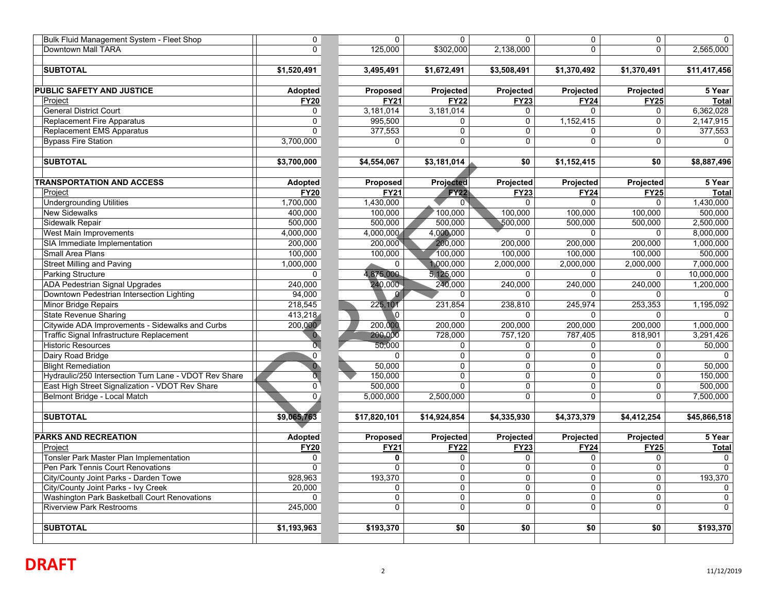| Bulk Fluid Management System - Fleet Shop             | 0                         | $\mathbf 0$         | $\mathbf{0}$   | $\Omega$            | $\mathbf 0$  | $\mathbf 0$ | $\Omega$     |
|-------------------------------------------------------|---------------------------|---------------------|----------------|---------------------|--------------|-------------|--------------|
| Downtown Mall TARA                                    | $\mathbf 0$               | 125,000             | \$302,000      | 2,138,000           | $\Omega$     | $\Omega$    | 2,565,000    |
|                                                       |                           |                     |                |                     |              |             |              |
| <b>SUBTOTAL</b>                                       | \$1,520,491               | 3,495,491           | \$1,672,491    | \$3,508,491         | \$1,370,492  | \$1,370,491 | \$11,417,456 |
|                                                       |                           |                     |                |                     |              |             |              |
| <b>PUBLIC SAFETY AND JUSTICE</b>                      | <b>Adopted</b>            | Proposed            | Projected      | Projected           | Projected    | Projected   | 5 Year       |
| Project                                               | <b>FY20</b>               | <b>FY21</b>         | <b>FY22</b>    | <b>FY23</b>         | <b>FY24</b>  | <b>FY25</b> | Total        |
| <b>General District Court</b>                         | $\mathbf 0$               | 3,181,014           | 3,181,014      | $\mathbf{0}$        | $\Omega$     | $\mathbf 0$ | 6,362,028    |
| <b>Replacement Fire Apparatus</b>                     | $\overline{0}$            | 995,500             | 0              | $\mathbf 0$         | 1,152,415    | $\mathbf 0$ | 2,147,915    |
| Replacement EMS Apparatus                             | $\overline{0}$            | 377,553             | $\Omega$       | $\Omega$            | $\Omega$     | $\mathbf 0$ | 377,553      |
| <b>Bypass Fire Station</b>                            | 3,700,000                 | 0                   | $\Omega$       | $\Omega$            | $\Omega$     | $\Omega$    | $\Omega$     |
|                                                       |                           |                     |                |                     |              |             |              |
| <b>SUBTOTAL</b>                                       | \$3,700,000               | \$4,554,067         | \$3,181,014    | \$0                 | \$1,152,415  | \$0         | \$8,887,496  |
|                                                       |                           |                     |                |                     |              |             |              |
| <b>TRANSPORTATION AND ACCESS</b>                      | <b>Adopted</b>            | Proposed            | Projected      | Projected           | Projected    | Projected   | 5 Year       |
| Project                                               | <b>FY20</b>               | <b>FY21</b>         | <b>FY22</b>    | <b>FY23</b>         | <b>FY24</b>  | <b>FY25</b> | <b>Total</b> |
| <b>Undergrounding Utilities</b>                       | 1,700,000                 | 1,430,000           |                | $\Omega$            | $\Omega$     | $\Omega$    | 1,430,000    |
| <b>New Sidewalks</b>                                  | 400,000                   | 100,000             | 100,000        | 100,000             | 100,000      | 100,000     | 500,000      |
| Sidewalk Repair                                       | 500,000                   | 500,000             | 500,000        | 500,000             | 500,000      | 500,000     | 2,500,000    |
| West Main Improvements                                | 4,000,000                 | 4,000,000           | 4,000,000      | $\Omega$            | $\Omega$     | $\mathbf 0$ | 8,000,000    |
| SIA Immediate Implementation                          | 200,000                   | 200,000             | 200,000        | 200,000             | 200,000      | 200,000     | 1,000,000    |
| Small Area Plans                                      | 100,000                   | 100,000             | 100,000        | 100,000             | 100,000      | 100,000     | 500,000      |
| <b>Street Milling and Paving</b>                      | 1,000,000                 | $\Omega$            | 1,000,000      | 2,000,000           | 2,000,000    | 2,000,000   | 7,000,000    |
| <b>Parking Structure</b>                              | 0                         | 4,875,000           | 5,125,000      | $\mathbf 0$         | $\mathbf 0$  | 0           | 10,000,000   |
| <b>ADA Pedestrian Signal Upgrades</b>                 | 240,000                   | 240,000             | 240,000        | 240,000             | 240,000      | 240,000     | 1,200,000    |
| Downtown Pedestrian Intersection Lighting             | 94,000                    |                     | $\Omega$       | $\Omega$            | $\Omega$     | $\Omega$    | $\Omega$     |
| Minor Bridge Repairs                                  | 218,545                   | 225,101             | 231,854        | 238,810             | 245,974      | 253,353     | 1,195,092    |
| <b>State Revenue Sharing</b>                          | 413,218                   | $\mathbf{0}$        | $\Omega$       | $\mathbf{0}$        | $\Omega$     | $\Omega$    |              |
| Citywide ADA Improvements - Sidewalks and Curbs       | 200,000                   | 200,000             | 200,000        | 200,000             | 200,000      | 200,000     | 1,000,000    |
| Traffic Signal Infrastructure Replacement             | $\mathbf{0}$              | 200,000             | 728,000        | 757,120             | 787,405      | 818,901     | 3,291,426    |
| <b>Historic Resources</b>                             | $\overline{\mathfrak{0}}$ | 50,000              | $\mathbf{0}$   | $\mathbf 0$         | $\Omega$     | $\mathbf 0$ | 50,000       |
| Dairy Road Bridge                                     | $\mathbf 0$               | $\Omega$            | 0              | $\mathbf 0$         | $\mathbf{0}$ | $\mathbf 0$ | $\Omega$     |
| <b>Blight Remediation</b>                             | $\overline{0}$            | 50,000              | $\Omega$       | $\Omega$            | $\mathbf{0}$ | $\Omega$    | 50,000       |
| Hydraulic/250 Intersection Turn Lane - VDOT Rev Share | $\overline{\mathfrak{o}}$ | 150,000             | $\mathbf{0}$   | $\mathbf 0$         | $\mathbf{0}$ | $\mathbf 0$ | 150,000      |
| East High Street Signalization - VDOT Rev Share       | $\overline{0}$            | $\frac{1}{000,000}$ | $\Omega$       | $\mathbf 0$         | $\mathsf 0$  | $\mathbf 0$ | 500,000      |
| Belmont Bridge - Local Match                          | $\overline{0}$            | 5,000,000           | 2,500,000      | $\Omega$            | $\Omega$     | $\Omega$    | 7,500,000    |
|                                                       |                           |                     |                |                     |              |             |              |
| <b>SUBTOTAL</b>                                       | \$9,065,763               | \$17,820,101        | \$14,924,854   | \$4,335,930         | \$4,373,379  | \$4,412,254 | \$45,866,518 |
|                                                       |                           |                     |                |                     |              |             |              |
| <b>PARKS AND RECREATION</b>                           | <b>Adopted</b>            | <b>Proposed</b>     | Projected      | Projected           | Projected    | Projected   | 5 Year       |
| Project                                               | <b>FY20</b>               | <b>FY21</b>         | <b>FY22</b>    | <b>FY23</b>         | <b>FY24</b>  | <b>FY25</b> | <b>Total</b> |
| Tonsler Park Master Plan Implementation               | 0                         | 0                   | $\Omega$       | 0                   | $\Omega$     | 0           | $\Omega$     |
| Pen Park Tennis Court Renovations                     | $\mathbf 0$               | $\overline{0}$      | $\mathbf 0$    | $\mathbf 0$         | $\mathbf 0$  | $\mathbf 0$ | $\Omega$     |
| City/County Joint Parks - Darden Towe                 | 928,963                   | 193,370             | $\mathbf 0$    | $\mathbf 0$         | $\mathbf 0$  | $\mathbf 0$ | 193,370      |
| City/County Joint Parks - Ivy Creek                   | 20,000                    | 0                   | $\overline{0}$ | $\mathsf{O}\xspace$ | $\Omega$     | 0           | 0            |
| Washington Park Basketball Court Renovations          | $\mathbf 0$               | $\mathbf 0$         | $\mathbf 0$    | $\mathbf 0$         | $\mathbf 0$  | $\mathbf 0$ | $\mathbf 0$  |
| <b>Riverview Park Restrooms</b>                       | 245,000                   | $\overline{0}$      | $\Omega$       | $\Omega$            | $\Omega$     | $\Omega$    | $\Omega$     |
|                                                       |                           |                     |                |                     |              |             |              |
| <b>SUBTOTAL</b>                                       | \$1,193,963               | \$193,370           | \$0            | \$0                 | \$0          | \$0         | \$193,370    |
|                                                       |                           |                     |                |                     |              |             |              |
|                                                       |                           |                     |                |                     |              |             |              |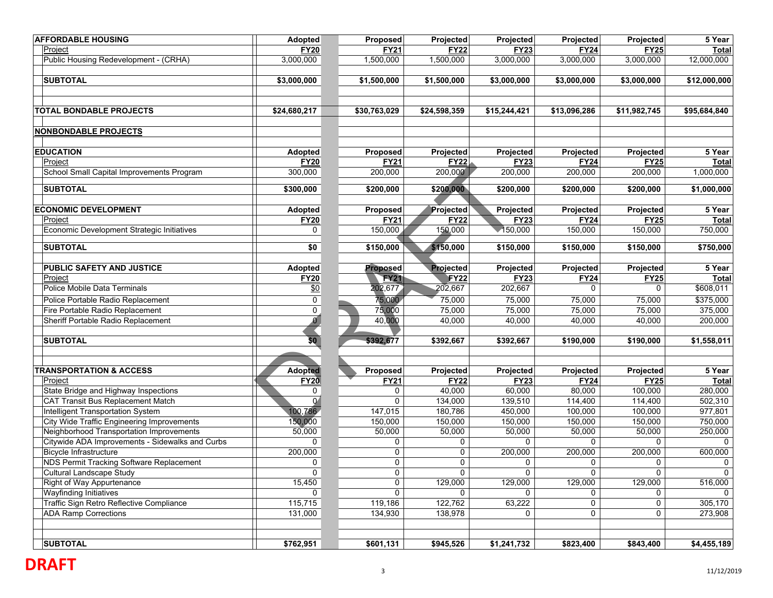| <b>AFFORDABLE HOUSING</b>                         | Adopted          | Proposed        | Projected        | Projected      | Projected    | Projected    | 5 Year         |
|---------------------------------------------------|------------------|-----------------|------------------|----------------|--------------|--------------|----------------|
| Project                                           | <b>FY20</b>      | <b>FY21</b>     | <b>FY22</b>      | <b>FY23</b>    | <b>FY24</b>  | <b>FY25</b>  | Total          |
| Public Housing Redevelopment - (CRHA)             | 3,000,000        | 1,500,000       | 1,500,000        | 3,000,000      | 3,000,000    | 3,000,000    | 12,000,000     |
| <b>SUBTOTAL</b>                                   | \$3,000,000      | \$1,500,000     | \$1,500,000      | \$3,000,000    | \$3,000,000  | \$3,000,000  | \$12,000,000   |
|                                                   |                  |                 |                  |                |              |              |                |
| TOTAL BONDABLE PROJECTS                           | \$24,680,217     | \$30,763,029    | \$24,598,359     | \$15,244,421   | \$13,096,286 | \$11,982,745 | \$95,684,840   |
| <b>NONBONDABLE PROJECTS</b>                       |                  |                 |                  |                |              |              |                |
| <b>EDUCATION</b>                                  | Adopted          | Proposed        | Projected        | Projected      | Projected    | Projected    | 5 Year         |
| Project                                           | <b>FY20</b>      | <b>FY21</b>     | <b>FY22</b>      | <b>FY23</b>    | <b>FY24</b>  | <b>FY25</b>  | Total          |
| School Small Capital Improvements Program         | 300,000          | 200,000         | 200,000          | 200,000        | 200,000      | 200,000      | 1,000,000      |
| <b>SUBTOTAL</b>                                   | \$300,000        | \$200,000       | \$200,000        | \$200,000      | \$200,000    | \$200,000    | \$1,000,000    |
| <b>ECONOMIC DEVELOPMENT</b>                       | <b>Adopted</b>   | Proposed        | Projected        | Projected      | Projected    | Projected    | 5 Year         |
| Project                                           | <b>FY20</b>      | <b>FY21</b>     | <b>FY22</b>      | <b>FY23</b>    | <b>FY24</b>  | <b>FY25</b>  | Total          |
| Economic Development Strategic Initiatives        | 0                | 150,000         | 150,000          | 150,000        | 150,000      | 150,000      | 750,000        |
| <b>SUBTOTAL</b>                                   | \$0              | \$150,000       | \$150,000        | \$150,000      | \$150,000    | \$150,000    | \$750,000      |
| PUBLIC SAFETY AND JUSTICE                         | Adopted          | <b>Proposed</b> | Projected        | Projected      | Projected    | Projected    | 5 Year         |
| Project                                           | <b>FY20</b>      | <b>FY21</b>     | FY <sub>22</sub> | <b>FY23</b>    | <b>FY24</b>  | <b>FY25</b>  | Total          |
| Police Mobile Data Terminals                      | \$0              | 202,677         | 202,667          | 202,667        |              | $\Omega$     | \$608,011      |
| Police Portable Radio Replacement                 | $\overline{0}$   | 75,000          | 75,000           | 75,000         | 75,000       | 75,000       | \$375,000      |
| Fire Portable Radio Replacement                   | $\overline{0}$   | 75,000          | 75,000           | 75,000         | 75,000       | 75,000       | 375,000        |
| Sheriff Portable Radio Replacement                | $\boldsymbol{0}$ | 40,000          | 40,000           | 40,000         | 40,000       | 40,000       | 200,000        |
| <b>SUBTOTAL</b>                                   | \$0              | \$392,677       | \$392,667        | \$392,667      | \$190,000    | \$190,000    | \$1,558,011    |
|                                                   |                  |                 |                  |                |              |              |                |
| <b>TRANSPORTATION &amp; ACCESS</b>                | <b>Adopted</b>   | Proposed        | Projected        | Projected      | Projected    | Projected    | 5 Year         |
| Project                                           | <b>FY20</b>      | <b>FY21</b>     | <b>FY22</b>      | <b>FY23</b>    | <b>FY24</b>  | <b>FY25</b>  | <b>Total</b>   |
| State Bridge and Highway Inspections              | 0                | 0               | 40,000           | 60,000         | 80,000       | 100,000      | 280,000        |
| <b>CAT Transit Bus Replacement Match</b>          | $\overline{0}$   | 0               | 134,000          | 139,510        | 114,400      | 114,400      | 502,310        |
| Intelligent Transportation System                 | 100,786          | 147,015         | 180,786          | 450,000        | 100,000      | 100,000      | 977,801        |
| <b>City Wide Traffic Engineering Improvements</b> | 150,000          | 150,000         | 150,000          | 150,000        | 150,000      | 150,000      | 750,000        |
| Neighborhood Transportation Improvements          | 50,000           | 50,000          | 50,000           | 50,000         | 50,000       | 50,000       | 250,000        |
| Citywide ADA Improvements - Sidewalks and Curbs   | $\mathbf 0$      | 0               | $\mathbf 0$      | 0              | $\mathbf 0$  | $\mathbf 0$  | $\Omega$       |
| <b>Bicycle Infrastructure</b>                     | 200,000          | 0               | $\mathbf 0$      | 200,000        | 200,000      | 200,000      | 600,000        |
| NDS Permit Tracking Software Replacement          | 0                | 0               | $\mathbf 0$      | 0              | 0            | 0            | 0              |
| Cultural Landscape Study                          | $\overline{0}$   | U.              | 0 <sup>1</sup>   | $\overline{0}$ | $\mathbf{0}$ | $\mathbf 0$  | $\overline{0}$ |
| Right of Way Appurtenance                         | 15,450           | 0               | 129,000          | 129,000        | 129,000      | 129,000      | 516,000        |
| <b>Wayfinding Initiatives</b>                     | 0                | $\mathbf{0}$    | $\mathbf{0}$     | 0              | 0            | 0            | 0              |
| Traffic Sign Retro Reflective Compliance          | 115,715          | 119,186         | 122,762          | 63,222         | 0            | 0            | 305,170        |
| <b>ADA Ramp Corrections</b>                       | 131,000          | 134,930         | 138,978          | 0              | 0            | $\mathbf 0$  | 273,908        |
|                                                   |                  |                 |                  |                |              |              |                |
| <b>SUBTOTAL</b>                                   | \$762,951        | \$601,131       | \$945,526        | \$1,241,732    | \$823,400    | \$843,400    | \$4,455,189    |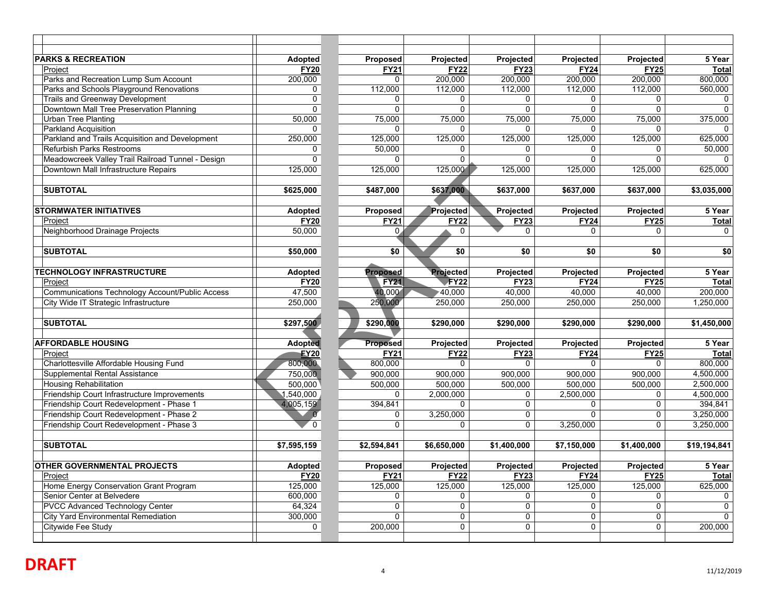| <b>PARKS &amp; RECREATION</b>                     | <b>Adopted</b> | Proposed        | Projected        | <b>Projected</b> | Projected        | Projected        | 5 Year       |
|---------------------------------------------------|----------------|-----------------|------------------|------------------|------------------|------------------|--------------|
| Project                                           | <b>FY20</b>    | <b>FY21</b>     | <b>FY22</b>      | <b>FY23</b>      | <b>FY24</b>      | <b>FY25</b>      | <b>Total</b> |
| Parks and Recreation Lump Sum Account             | 200,000        | $\Omega$        | 200,000          | 200,000          | 200,000          | 200,000          | 800,000      |
| Parks and Schools Playground Renovations          | $\mathbf{0}$   | 112,000         | 112,000          | 112,000          | 112,000          | 112,000          | 560,000      |
| <b>Trails and Greenway Development</b>            | $\overline{0}$ | 0               | $\mathbf{0}$     | 0                | $\Omega$         | 0                | $\Omega$     |
| Downtown Mall Tree Preservation Planning          | 0              | $\mathbf 0$     | $\Omega$         | $\Omega$         | $\mathbf 0$      | $\mathbf 0$      | $\Omega$     |
| <b>Urban Tree Planting</b>                        | 50,000         | 75,000          | 75,000           | 75,000           | 75,000           | 75,000           | 375,000      |
| Parkland Acquisition                              | 0              | $\Omega$        | $\Omega$         | $\Omega$         | $\Omega$         | $\Omega$         | $\Omega$     |
| Parkland and Trails Acquisition and Development   | 250,000        | 125.000         | 125,000          | 125.000          | 125.000          | 125.000          | 625.000      |
| <b>Refurbish Parks Restrooms</b>                  | 0              | 50,000          | $\Omega$         | $\Omega$         | $\mathbf 0$      | 0                | 50,000       |
| Meadowcreek Valley Trail Railroad Tunnel - Design | $\overline{0}$ | $\Omega$        | 0                | $\Omega$         | $\overline{0}$   | $\overline{0}$   | $\Omega$     |
| Downtown Mall Infrastructure Repairs              | 125,000        | 125,000         | 125,000          | 125,000          | 125,000          | 125,000          | 625,000      |
|                                                   |                |                 |                  |                  |                  |                  |              |
| <b>SUBTOTAL</b>                                   | \$625,000      | \$487,000       | \$637,000        | \$637,000        | \$637,000        | \$637,000        | \$3,035,000  |
|                                                   |                |                 |                  |                  |                  |                  |              |
| <b>STORMWATER INITIATIVES</b>                     | Adopted        | Proposed        | Projected        | Projected        | Projected        | Projected        | 5 Year       |
| Project                                           | <b>FY20</b>    | <b>FY21</b>     | <b>FY22</b>      | <b>FY23</b>      | <b>FY24</b>      | <b>FY25</b>      | <b>Total</b> |
| Neighborhood Drainage Projects                    | 50,000         | $\mathbf{0}$ .  | 0                | $\Omega$         | $\Omega$         | $\Omega$         | $\Omega$     |
|                                                   |                |                 |                  |                  |                  |                  |              |
| <b>SUBTOTAL</b>                                   | \$50,000       | \$0             | \$0              | \$0              | \$0              | \$0              | \$0          |
|                                                   |                |                 |                  |                  |                  |                  |              |
| <b>TECHNOLOGY INFRASTRUCTURE</b>                  | <b>Adopted</b> | <b>Proposed</b> | Projected        | Projected        | <b>Projected</b> | <b>Projected</b> | 5 Year       |
| Project                                           | <b>FY20</b>    | <b>FY21</b>     | <b>FY22</b>      | <b>FY23</b>      | <b>FY24</b>      | <b>FY25</b>      | <b>Total</b> |
| Communications Technology Account/Public Access   | 47,500         | 40,000          | 10,000∗          | 40,000           | 40,000           | 40,000           | 200,000      |
| City Wide IT Strategic Infrastructure             | 250,000        | 250,000         | 250,000          | 250,000          | 250,000          | 250,000          | 1,250,000    |
|                                                   |                |                 |                  |                  |                  |                  |              |
| <b>SUBTOTAL</b>                                   | \$297,500      | \$290,000       | \$290,000        | \$290,000        | \$290,000        | \$290,000        | \$1,450,000  |
|                                                   |                |                 |                  |                  |                  |                  |              |
| <b>AFFORDABLE HOUSING</b>                         | <b>Adopted</b> | <b>Proposed</b> | Projected        | Projected        | Projected        | Projected        | 5 Year       |
| Project                                           | <b>EY20</b>    | <b>FY21</b>     | <b>FY22</b>      | <b>FY23</b>      | <b>FY24</b>      | <b>FY25</b>      | <b>Total</b> |
| Charlottesville Affordable Housing Fund           | 800,000        | 800,000         | 0                | 0                | $\Omega$         | 0                | 800.000      |
| Supplemental Rental Assistance                    | 750.000        | 900,000         | 900,000          | 900,000          | 900,000          | 900,000          | 4,500,000    |
| <b>Housing Rehabilitation</b>                     | 500.000        | 500,000         | 500,000          | 500.000          | 500,000          | 500.000          | 2,500,000    |
| Friendship Court Infrastructure Improvements      | ,540,000       | 0               | 2,000,000        | 0                | 2,500,000        | 0                | 4,500,000    |
| Friendship Court Redevelopment - Phase 1          | 4,005,159      | 394,841         | 0                | 0                | $\mathbf 0$      | 0                | 394,841      |
| Friendship Court Redevelopment - Phase 2          | $\alpha$       | 0               | 3,250,000        | 0                | $\Omega$         | 0                | 3,250,000    |
| Friendship Court Redevelopment - Phase 3          | $\overline{0}$ | $\Omega$        | $\mathbf{0}$     | $\Omega$         | 3,250,000        | $\Omega$         | 3,250,000    |
|                                                   |                |                 |                  |                  |                  |                  |              |
| <b>SUBTOTAL</b>                                   | \$7,595,159    | \$2,594,841     | \$6,650,000      | \$1,400,000      | \$7,150,000      | \$1,400,000      | \$19,194,841 |
| <b>OTHER GOVERNMENTAL PROJECTS</b>                | <b>Adopted</b> | Proposed        | <b>Projected</b> | <b>Projected</b> | <b>Projected</b> | <b>Projected</b> | 5 Year       |
| Project                                           | <b>FY20</b>    | <b>FY21</b>     | <b>FY22</b>      | <b>FY23</b>      | <b>FY24</b>      | <b>FY25</b>      | Total        |
| Home Energy Conservation Grant Program            | 125,000        | 125,000         | 125,000          | 125,000          | 125,000          | 125,000          | 625,000      |
| Senior Center at Belvedere                        | 600,000        | 0               | 0                | $\mathbf 0$      | $\mathbf 0$      | 0                | $\mathbf 0$  |
| <b>PVCC Advanced Technology Center</b>            | 64,324         | 0               | $\mathbf 0$      | $\mathbf 0$      | $\mathbf 0$      | 0                | $\Omega$     |
| City Yard Environmental Remediation               | 300,000        | $\Omega$        | 0                | $\pmb{0}$        | $\mathbf 0$      | 0                | $\Omega$     |
| Citywide Fee Study                                | $\mathbf 0$    | 200.000         | $\overline{0}$   | $\Omega$         | $\Omega$         | $\Omega$         | 200.000      |
|                                                   |                |                 |                  |                  |                  |                  |              |
|                                                   |                |                 |                  |                  |                  |                  |              |